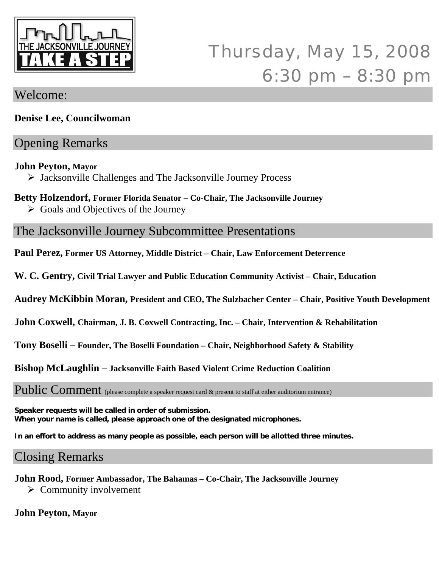

# Thursday, May 15, 2008 6:30 pm – 8:30 pm

### Welcome:

**Denise Lee, Councilwoman** 

## Opening Remarks

#### **John Peyton, Mayor**

¾ Jacksonville Challenges and The Jacksonville Journey Process

#### **Betty Holzendorf, Former Florida Senator – Co-Chair, The Jacksonville Journey**

 $\triangleright$  Goals and Objectives of the Journey

The Jacksonville Journey Subcommittee Presentations

**Paul Perez, Former US Attorney, Middle District – Chair, Law Enforcement Deterrence** 

**W. C. Gentry, Civil Trial Lawyer and Public Education Community Activist – Chair, Education**

**Audrey McKibbin Moran, President and CEO, The Sulzbacher Center – Chair, Positive Youth Development** 

**John Coxwell, Chairman, J. B. Coxwell Contracting, Inc. – Chair, Intervention & Rehabilitation** 

**Tony Boselli – Founder, The Boselli Foundation – Chair, Neighborhood Safety & Stability** 

**Bishop McLaughlin – Jacksonville Faith Based Violent Crime Reduction Coalition** 

Public Comment (please complete a speaker request card & present to staff at either auditorium entrance)

**Speaker requests will be called in order of submission. When your name is called, please approach one of the designated microphones.** 

**In an effort to address as many people as possible, each person will be allotted three minutes.** 

## Closing Remarks

**John Rood, Former Ambassador, The Bahamas** – **Co-Chair, The Jacksonville Journey** 

 $\triangleright$  Community involvement

#### **John Peyton, Mayor**